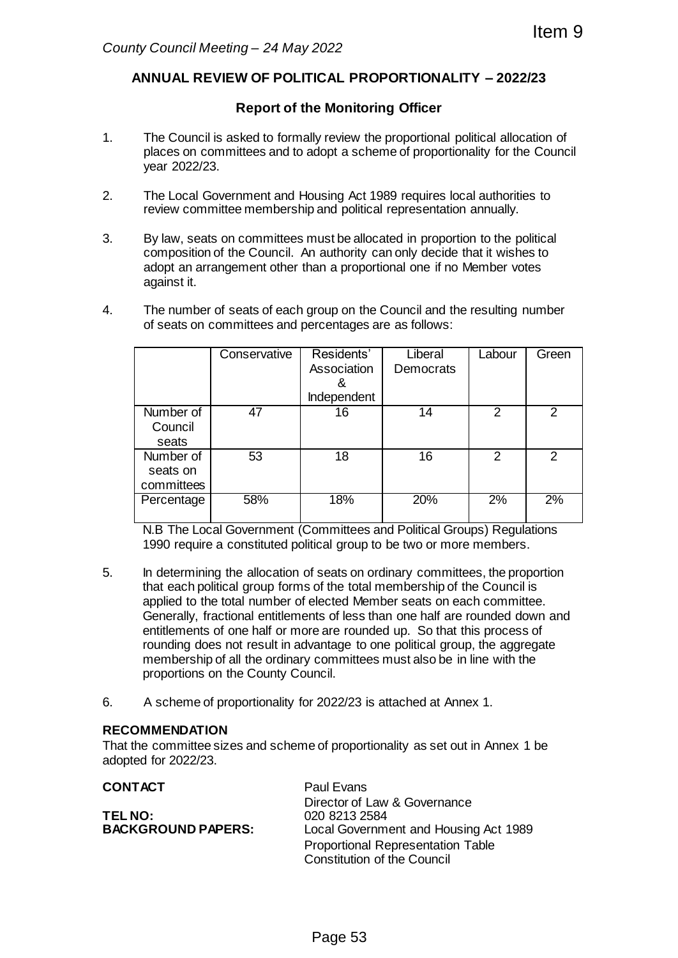## **ANNUAL REVIEW OF POLITICAL PROPORTIONALITY – 2022/23**

## **Report of the Monitoring Officer**

- 1. The Council is asked to formally review the proportional political allocation of places on committees and to adopt a scheme of proportionality for the Council year 2022/23.
- 2. The Local Government and Housing Act 1989 requires local authorities to review committee membership and political representation annually.
- 3. By law, seats on committees must be allocated in proportion to the political composition of the Council. An authority can only decide that it wishes to adopt an arrangement other than a proportional one if no Member votes against it.
- 4. The number of seats of each group on the Council and the resulting number of seats on committees and percentages are as follows:

|                                                                                                                                                                                                                                                                                                                                                                                                                                                                                                                                                                                                                                                                                                                                                                                                                         | ty Council Meeting - 24 May 2022                                                                                                                                                                                                    |                                               |                      |                | Item 9         |  |  |  |  |  |  |
|-------------------------------------------------------------------------------------------------------------------------------------------------------------------------------------------------------------------------------------------------------------------------------------------------------------------------------------------------------------------------------------------------------------------------------------------------------------------------------------------------------------------------------------------------------------------------------------------------------------------------------------------------------------------------------------------------------------------------------------------------------------------------------------------------------------------------|-------------------------------------------------------------------------------------------------------------------------------------------------------------------------------------------------------------------------------------|-----------------------------------------------|----------------------|----------------|----------------|--|--|--|--|--|--|
| ANNUAL REVIEW OF POLITICAL PROPORTIONALITY - 2022/23                                                                                                                                                                                                                                                                                                                                                                                                                                                                                                                                                                                                                                                                                                                                                                    |                                                                                                                                                                                                                                     |                                               |                      |                |                |  |  |  |  |  |  |
| <b>Report of the Monitoring Officer</b>                                                                                                                                                                                                                                                                                                                                                                                                                                                                                                                                                                                                                                                                                                                                                                                 |                                                                                                                                                                                                                                     |                                               |                      |                |                |  |  |  |  |  |  |
| The Council is asked to formally review the proportional political allocation of<br>places on committees and to adopt a scheme of proportionality for the Council<br>year 2022/23.                                                                                                                                                                                                                                                                                                                                                                                                                                                                                                                                                                                                                                      |                                                                                                                                                                                                                                     |                                               |                      |                |                |  |  |  |  |  |  |
| The Local Government and Housing Act 1989 requires local authorities to<br>review committee membership and political representation annually.                                                                                                                                                                                                                                                                                                                                                                                                                                                                                                                                                                                                                                                                           |                                                                                                                                                                                                                                     |                                               |                      |                |                |  |  |  |  |  |  |
| against it.                                                                                                                                                                                                                                                                                                                                                                                                                                                                                                                                                                                                                                                                                                                                                                                                             | By law, seats on committees must be allocated in proportion to the political<br>composition of the Council. An authority can only decide that it wishes to<br>adopt an arrangement other than a proportional one if no Member votes |                                               |                      |                |                |  |  |  |  |  |  |
| The number of seats of each group on the Council and the resulting number<br>of seats on committees and percentages are as follows:                                                                                                                                                                                                                                                                                                                                                                                                                                                                                                                                                                                                                                                                                     |                                                                                                                                                                                                                                     |                                               |                      |                |                |  |  |  |  |  |  |
|                                                                                                                                                                                                                                                                                                                                                                                                                                                                                                                                                                                                                                                                                                                                                                                                                         | Conservative                                                                                                                                                                                                                        | Residents'<br>Association<br>&<br>Independent | Liberal<br>Democrats | Labour         | Green          |  |  |  |  |  |  |
| Number of<br>Council<br>seats                                                                                                                                                                                                                                                                                                                                                                                                                                                                                                                                                                                                                                                                                                                                                                                           | 47                                                                                                                                                                                                                                  | 16                                            | 14                   | $\overline{2}$ | $\overline{2}$ |  |  |  |  |  |  |
| Number of<br>seats on<br>committees                                                                                                                                                                                                                                                                                                                                                                                                                                                                                                                                                                                                                                                                                                                                                                                     | 53                                                                                                                                                                                                                                  | 18                                            | 16                   | $\overline{2}$ | $\overline{2}$ |  |  |  |  |  |  |
| Percentage                                                                                                                                                                                                                                                                                                                                                                                                                                                                                                                                                                                                                                                                                                                                                                                                              | 58%                                                                                                                                                                                                                                 | 18%                                           | 20%                  | 2%             | 2%             |  |  |  |  |  |  |
| N.B The Local Government (Committees and Political Groups) Regulations<br>1990 require a constituted political group to be two or more members.<br>In determining the allocation of seats on ordinary committees, the proportion<br>that each political group forms of the total membership of the Council is<br>applied to the total number of elected Member seats on each committee.<br>Generally, fractional entitlements of less than one half are rounded down and<br>entitlements of one half or more are rounded up. So that this process of<br>rounding does not result in advantage to one political group, the aggregate<br>membership of all the ordinary committees must also be in line with the<br>proportions on the County Council.<br>A scheme of proportionality for 2022/23 is attached at Annex 1. |                                                                                                                                                                                                                                     |                                               |                      |                |                |  |  |  |  |  |  |
| <b>DMMENDATION</b><br>ed for 2022/23.                                                                                                                                                                                                                                                                                                                                                                                                                                                                                                                                                                                                                                                                                                                                                                                   | he committee sizes and scheme of proportionality as set out in Annex 1 be                                                                                                                                                           |                                               |                      |                |                |  |  |  |  |  |  |
| <b>TACT</b><br><b>Paul Evans</b><br>Director of Law & Governance<br>020 8213 2584<br>IO:<br><b>(GROUND PAPERS:</b><br>Local Government and Housing Act 1989<br><b>Proportional Representation Table</b><br><b>Constitution of the Council</b>                                                                                                                                                                                                                                                                                                                                                                                                                                                                                                                                                                           |                                                                                                                                                                                                                                     |                                               |                      |                |                |  |  |  |  |  |  |
|                                                                                                                                                                                                                                                                                                                                                                                                                                                                                                                                                                                                                                                                                                                                                                                                                         |                                                                                                                                                                                                                                     | Page 53                                       |                      |                |                |  |  |  |  |  |  |

- 5. In determining the allocation of seats on ordinary committees, the proportion that each political group forms of the total membership of the Council is applied to the total number of elected Member seats on each committee. Generally, fractional entitlements of less than one half are rounded down and entitlements of one half or more are rounded up. So that this process of rounding does not result in advantage to one political group, the aggregate membership of all the ordinary committees must also be in line with the proportions on the County Council.
- 6. A scheme of proportionality for 2022/23 is attached at Annex 1.

## **RECOMMENDATION**

That the committee sizes and scheme of proportionality as set out in Annex 1 be adopted for 2022/23.

| <b>CONTACT</b>            | Paul Evans                               |
|---------------------------|------------------------------------------|
|                           | Director of Law & Governance             |
| TEL NO:                   | 020 8213 2584                            |
| <b>BACKGROUND PAPERS:</b> | Local Government and Housing Act 1989    |
|                           | <b>Proportional Representation Table</b> |
|                           | <b>Constitution of the Council</b>       |